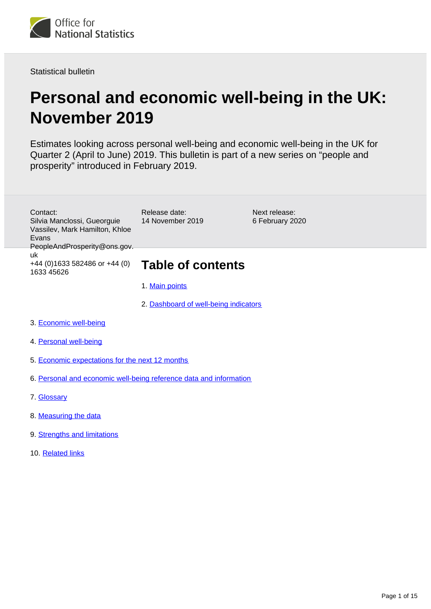

Statistical bulletin

# **Personal and economic well-being in the UK: November 2019**

Estimates looking across personal well-being and economic well-being in the UK for Quarter 2 (April to June) 2019. This bulletin is part of a new series on "people and prosperity" introduced in February 2019.

Contact: Silvia Manclossi, Gueorguie Vassilev, Mark Hamilton, Khloe Evans PeopleAndProsperity@ons.gov. uk +44 (0)1633 582486 or +44 (0) 1633 45626

Release date: 14 November 2019

Next release: 6 February 2020

## **Table of contents**

- 1. [Main points](#page-1-0)
- 2. [Dashboard of well-being indicators](#page-1-1)
- 3. [Economic well-being](#page-2-0)
- 4. [Personal well-being](#page-5-0)
- 5. [Economic expectations for the next 12 months](#page-8-0)
- 6. [Personal and economic well-being reference data and information](#page-9-0)
- 7. [Glossary](#page-10-0)
- 8. [Measuring the data](#page-10-1)
- 9. [Strengths and limitations](#page-12-0)
- 10. [Related links](#page-13-0)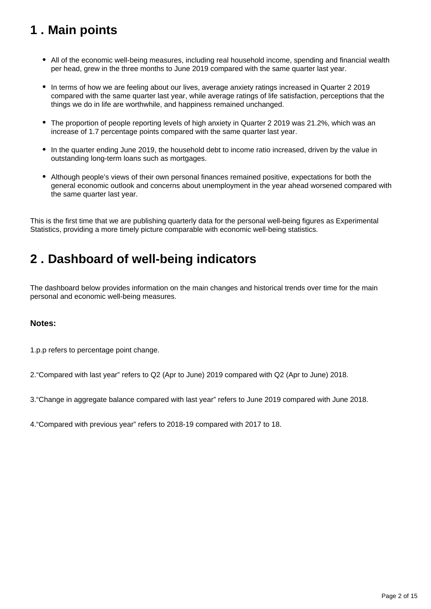# <span id="page-1-0"></span>**1 . Main points**

- All of the economic well-being measures, including real household income, spending and financial wealth per head, grew in the three months to June 2019 compared with the same quarter last year.
- In terms of how we are feeling about our lives, average anxiety ratings increased in Quarter 2 2019 compared with the same quarter last year, while average ratings of life satisfaction, perceptions that the things we do in life are worthwhile, and happiness remained unchanged.
- The proportion of people reporting levels of high anxiety in Quarter 2 2019 was 21.2%, which was an increase of 1.7 percentage points compared with the same quarter last year.
- In the quarter ending June 2019, the household debt to income ratio increased, driven by the value in outstanding long-term loans such as mortgages.
- Although people's views of their own personal finances remained positive, expectations for both the general economic outlook and concerns about unemployment in the year ahead worsened compared with the same quarter last year.

This is the first time that we are publishing quarterly data for the personal well-being figures as Experimental Statistics, providing a more timely picture comparable with economic well-being statistics.

# <span id="page-1-1"></span>**2 . Dashboard of well-being indicators**

The dashboard below provides information on the main changes and historical trends over time for the main personal and economic well-being measures.

### **Notes:**

1.p.p refers to percentage point change.

2."Compared with last year" refers to Q2 (Apr to June) 2019 compared with Q2 (Apr to June) 2018.

3."Change in aggregate balance compared with last year" refers to June 2019 compared with June 2018.

4."Compared with previous year" refers to 2018-19 compared with 2017 to 18.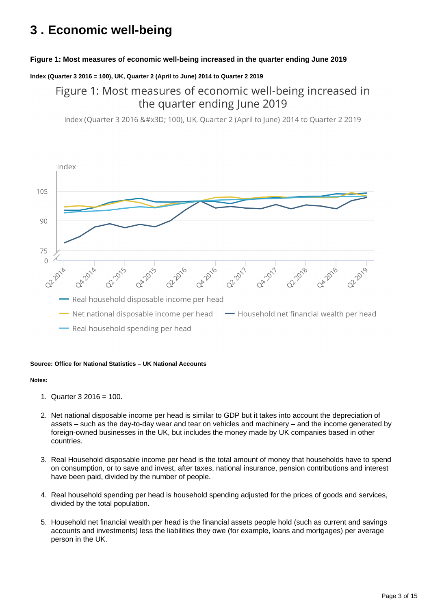# <span id="page-2-0"></span>**3 . Economic well-being**

### **Figure 1: Most measures of economic well-being increased in the quarter ending June 2019**

### **Index (Quarter 3 2016 = 100), UK, Quarter 2 (April to June) 2014 to Quarter 2 2019**

Figure 1: Most measures of economic well-being increased in the quarter ending June 2019

Index (Quarter 3 2016 = 100), UK, Quarter 2 (April to June) 2014 to Quarter 2 2019



### **Source: Office for National Statistics – UK National Accounts**

#### **Notes:**

- 1. Quarter 3 2016 = 100.
- 2. Net national disposable income per head is similar to GDP but it takes into account the depreciation of assets – such as the day-to-day wear and tear on vehicles and machinery – and the income generated by foreign-owned businesses in the UK, but includes the money made by UK companies based in other countries.
- 3. Real Household disposable income per head is the total amount of money that households have to spend on consumption, or to save and invest, after taxes, national insurance, pension contributions and interest have been paid, divided by the number of people.
- 4. Real household spending per head is household spending adjusted for the prices of goods and services, divided by the total population.
- 5. Household net financial wealth per head is the financial assets people hold (such as current and savings accounts and investments) less the liabilities they owe (for example, loans and mortgages) per average person in the UK.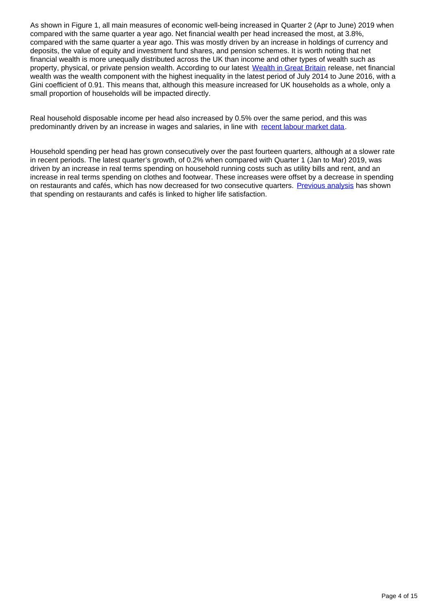As shown in Figure 1, all main measures of economic well-being increased in Quarter 2 (Apr to June) 2019 when compared with the same quarter a year ago. Net financial wealth per head increased the most, at 3.8%, compared with the same quarter a year ago. This was mostly driven by an increase in holdings of currency and deposits, the value of equity and investment fund shares, and pension schemes. It is worth noting that net financial wealth is more unequally distributed across the UK than income and other types of wealth such as property, physical, or private pension wealth. According to our latest [Wealth in Great Britain](https://www.ons.gov.uk/peoplepopulationandcommunity/personalandhouseholdfinances/incomeandwealth/bulletins/wealthingreatbritainwave5/2014to2016) release, net financial wealth was the wealth component with the highest inequality in the latest period of July 2014 to June 2016, with a Gini coefficient of 0.91. This means that, although this measure increased for UK households as a whole, only a small proportion of households will be impacted directly.

Real household disposable income per head also increased by 0.5% over the same period, and this was predominantly driven by an increase in wages and salaries, in line with [recent labour market data](https://www.ons.gov.uk/employmentandlabourmarket/peopleinwork/employmentandemployeetypes/bulletins/uklabourmarket/october2019).

Household spending per head has grown consecutively over the past fourteen quarters, although at a slower rate in recent periods. The latest quarter's growth, of 0.2% when compared with Quarter 1 (Jan to Mar) 2019, was driven by an increase in real terms spending on household running costs such as utility bills and rent, and an increase in real terms spending on clothes and footwear. These increases were offset by a decrease in spending on restaurants and cafés, which has now decreased for two consecutive quarters. [Previous analysis](https://www.ons.gov.uk/peoplepopulationandcommunity/wellbeing/articles/personalandeconomicwellbeingintheuk/whatmattersmosttoourlifesatisfaction) has shown that spending on restaurants and cafés is linked to higher life satisfaction.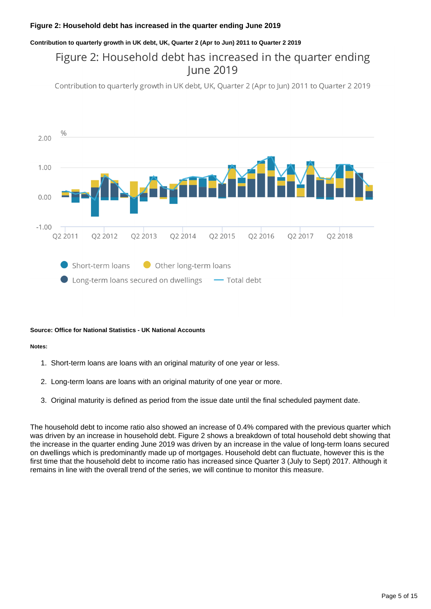### **Figure 2: Household debt has increased in the quarter ending June 2019**

**Contribution to quarterly growth in UK debt, UK, Quarter 2 (Apr to Jun) 2011 to Quarter 2 2019**

## Figure 2: Household debt has increased in the quarter ending **lune 2019**

Contribution to quarterly growth in UK debt, UK, Quarter 2 (Apr to Jun) 2011 to Quarter 2 2019



### **Source: Office for National Statistics - UK National Accounts**

#### **Notes:**

- 1. Short-term loans are loans with an original maturity of one year or less.
- 2. Long-term loans are loans with an original maturity of one year or more.
- 3. Original maturity is defined as period from the issue date until the final scheduled payment date.

The household debt to income ratio also showed an increase of 0.4% compared with the previous quarter which was driven by an increase in household debt. Figure 2 shows a breakdown of total household debt showing that the increase in the quarter ending June 2019 was driven by an increase in the value of long-term loans secured on dwellings which is predominantly made up of mortgages. Household debt can fluctuate, however this is the first time that the household debt to income ratio has increased since Quarter 3 (July to Sept) 2017. Although it remains in line with the overall trend of the series, we will continue to monitor this measure.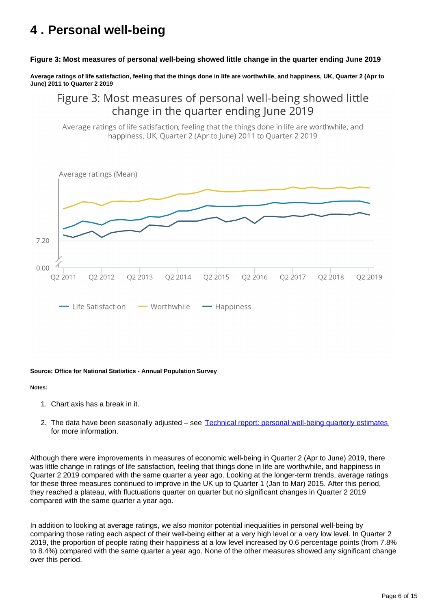# <span id="page-5-0"></span>**4 . Personal well-being**

### **Figure 3: Most measures of personal well-being showed little change in the quarter ending June 2019**

**Average ratings of life satisfaction, feeling that the things done in life are worthwhile, and happiness, UK, Quarter 2 (Apr to June) 2011 to Quarter 2 2019**

Figure 3: Most measures of personal well-being showed little change in the quarter ending June 2019

Average ratings of life satisfaction, feeling that the things done in life are worthwhile, and happiness, UK, Ouarter 2 (Apr to June) 2011 to Ouarter 2 2019



#### **Source: Office for National Statistics - Annual Population Survey**

#### **Notes:**

- 1. Chart axis has a break in it.
- 2. The data have been seasonally adjusted see [Technical report: personal well-being quarterly estimates](https://www.ons.gov.uk/peoplepopulationandcommunity/wellbeing/methodologies/personalwellbeingquarterlyestimatestechnicalreport) for more information.

Although there were improvements in measures of economic well-being in Quarter 2 (Apr to June) 2019, there was little change in ratings of life satisfaction, feeling that things done in life are worthwhile, and happiness in Quarter 2 2019 compared with the same quarter a year ago. Looking at the longer-term trends, average ratings for these three measures continued to improve in the UK up to Quarter 1 (Jan to Mar) 2015. After this period, they reached a plateau, with fluctuations quarter on quarter but no significant changes in Quarter 2 2019 compared with the same quarter a year ago.

In addition to looking at average ratings, we also monitor potential inequalities in personal well-being by comparing those rating each aspect of their well-being either at a very high level or a very low level. In Quarter 2 2019, the proportion of people rating their happiness at a low level increased by 0.6 percentage points (from 7.8% to 8.4%) compared with the same quarter a year ago. None of the other measures showed any significant change over this period.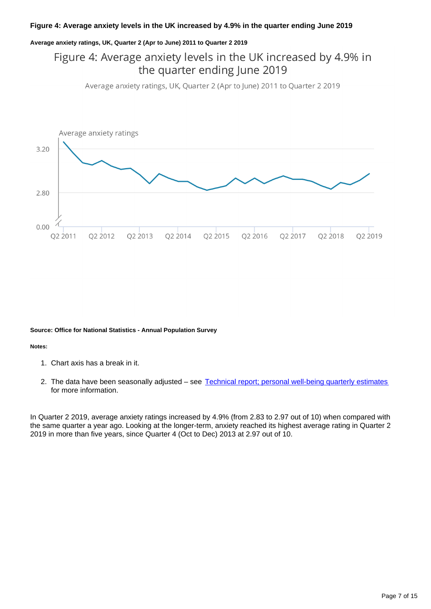### **Figure 4: Average anxiety levels in the UK increased by 4.9% in the quarter ending June 2019**

#### **Average anxiety ratings, UK, Quarter 2 (Apr to June) 2011 to Quarter 2 2019**

## Figure 4: Average anxiety levels in the UK increased by 4.9% in the quarter ending June 2019

Average anxiety ratings, UK, Quarter 2 (Apr to June) 2011 to Quarter 2 2019



#### **Source: Office for National Statistics - Annual Population Survey**

#### **Notes:**

- 1. Chart axis has a break in it.
- 2. The data have been seasonally adjusted see [Technical report; personal well-being quarterly estimates](https://www.ons.gov.uk/peoplepopulationandcommunity/wellbeing/methodologies/personalwellbeingquarterlyestimatestechnicalreport) for more information.

In Quarter 2 2019, average anxiety ratings increased by 4.9% (from 2.83 to 2.97 out of 10) when compared with the same quarter a year ago. Looking at the longer-term, anxiety reached its highest average rating in Quarter 2 2019 in more than five years, since Quarter 4 (Oct to Dec) 2013 at 2.97 out of 10.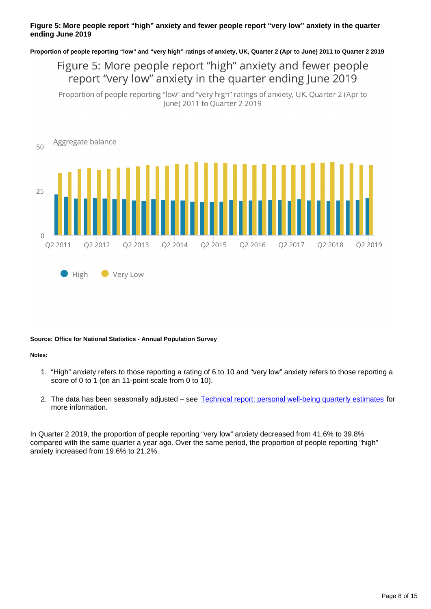### **Figure 5: More people report "high" anxiety and fewer people report "very low" anxiety in the quarter ending June 2019**

**Proportion of people reporting "low" and "very high" ratings of anxiety, UK, Quarter 2 (Apr to June) 2011 to Quarter 2 2019**

## Figure 5: More people report "high" anxiety and fewer people report "very low" anxiety in the quarter ending June 2019

Proportion of people reporting "low" and "very high" ratings of anxiety, UK, Quarter 2 (Apr to June) 2011 to Quarter 2 2019



### **Source: Office for National Statistics - Annual Population Survey**

Very Low

#### **Notes:**

 $\bullet$  High

- 1. "High" anxiety refers to those reporting a rating of 6 to 10 and "very low" anxiety refers to those reporting a score of 0 to 1 (on an 11-point scale from 0 to 10).
- 2. The data has been seasonally adjusted see [Technical report: personal well-being quarterly estimates](https://www.ons.gov.uk/peoplepopulationandcommunity/wellbeing/methodologies/personalwellbeingquarterlyestimatestechnicalreport) for more information.

In Quarter 2 2019, the proportion of people reporting "very low" anxiety decreased from 41.6% to 39.8% compared with the same quarter a year ago. Over the same period, the proportion of people reporting "high" anxiety increased from 19.6% to 21.2%.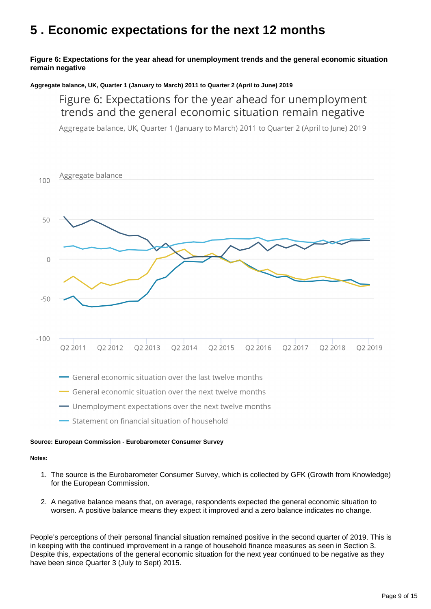# <span id="page-8-0"></span>**5 . Economic expectations for the next 12 months**

### **Figure 6: Expectations for the year ahead for unemployment trends and the general economic situation remain negative**

### **Aggregate balance, UK, Quarter 1 (January to March) 2011 to Quarter 2 (April to June) 2019**

## Figure 6: Expectations for the year ahead for unemployment trends and the general economic situation remain negative

Aggregate balance, UK, Quarter 1 (January to March) 2011 to Quarter 2 (April to June) 2019



- General economic situation over the next twelve months
- Unemployment expectations over the next twelve months
- Statement on financial situation of household

### **Source: European Commission - Eurobarometer Consumer Survey**

### **Notes:**

- 1. The source is the Eurobarometer Consumer Survey, which is collected by GFK (Growth from Knowledge) for the European Commission.
- 2. A negative balance means that, on average, respondents expected the general economic situation to worsen. A positive balance means they expect it improved and a zero balance indicates no change.

People's perceptions of their personal financial situation remained positive in the second quarter of 2019. This is in keeping with the continued improvement in a range of household finance measures as seen in Section 3. Despite this, expectations of the general economic situation for the next year continued to be negative as they have been since Quarter 3 (July to Sept) 2015.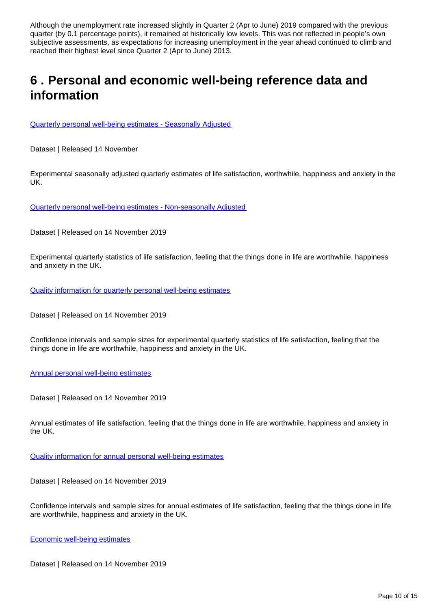Although the unemployment rate increased slightly in Quarter 2 (Apr to June) 2019 compared with the previous quarter (by 0.1 percentage points), it remained at historically low levels. This was not reflected in people's own subjective assessments, as expectations for increasing unemployment in the year ahead continued to climb and reached their highest level since Quarter 2 (Apr to June) 2013.

# <span id="page-9-0"></span>**6 . Personal and economic well-being reference data and information**

[Quarterly personal well-being estimates - Seasonally Adjusted](https://www.ons.gov.uk/peoplepopulationandcommunity/wellbeing/datasets/quarterlypersonalwellbeingestimatesseasonallyadjusted)

Dataset | Released 14 November

Experimental seasonally adjusted quarterly estimates of life satisfaction, worthwhile, happiness and anxiety in the UK.

[Quarterly personal well-being estimates - Non-seasonally Adjusted](https://www.ons.gov.uk/peoplepopulationandcommunity/wellbeing/datasets/quarterlypersonalwellbeingestimatesnonseasonallyadjusted)

Dataset | Released on 14 November 2019

Experimental quarterly statistics of life satisfaction, feeling that the things done in life are worthwhile, happiness and anxiety in the UK.

[Quality information for quarterly personal well-being estimates](https://www.ons.gov.uk/redir/eyJhbGciOiJIUzI1NiJ9.eyJpbmRleCI6MiwicGFnZVNpemUiOjEwLCJwYWdlIjoxLCJ1cmkiOiIvcGVvcGxlcG9wdWxhdGlvbmFuZGNvbW11bml0eS93ZWxsYmVpbmcvZGF0YXNldHMvcXVhbGl0eWluZm9ybWF0aW9uZm9ycGVyc29uYWx3ZWxsYmVpbmdlc3RpbWF0ZXMiLCJsaXN0VHlwZSI6InJlbGF0ZWRkYXRhIn0.FsoSgTOusPQ-RipYR1SsjrTpZvqJ2uvu6qaqXXd55SM)

Dataset | Released on 14 November 2019

Confidence intervals and sample sizes for experimental quarterly statistics of life satisfaction, feeling that the things done in life are worthwhile, happiness and anxiety in the UK.

### [Annual personal well-being estimates](https://www.ons.gov.uk/redir/eyJhbGciOiJIUzI1NiJ9.eyJpbmRleCI6MSwicGFnZVNpemUiOjEwLCJwYWdlIjoxLCJ1cmkiOiIvcGVvcGxlcG9wdWxhdGlvbmFuZGNvbW11bml0eS93ZWxsYmVpbmcvZGF0YXNldHMvaGVhZGxpbmVlc3RpbWF0ZXNvZnBlcnNvbmFsd2VsbGJlaW5nIiwibGlzdFR5cGUiOiJyZWxhdGVkZGF0YSJ9.wU7wCC9rKH5pSByMKmQSectCNPLSSRnqbd9yaOPE1NY)

Dataset | Released on 14 November 2019

Annual estimates of life satisfaction, feeling that the things done in life are worthwhile, happiness and anxiety in the UK.

[Quality information for annual personal well-being estimates](https://www.ons.gov.uk/redir/eyJhbGciOiJIUzI1NiJ9.eyJpbmRleCI6MiwicGFnZVNpemUiOjEwLCJwYWdlIjoxLCJ1cmkiOiIvcGVvcGxlcG9wdWxhdGlvbmFuZGNvbW11bml0eS93ZWxsYmVpbmcvZGF0YXNldHMvcXVhbGl0eWluZm9ybWF0aW9uZm9ycGVyc29uYWx3ZWxsYmVpbmdlc3RpbWF0ZXMiLCJsaXN0VHlwZSI6InJlbGF0ZWRkYXRhIn0.FsoSgTOusPQ-RipYR1SsjrTpZvqJ2uvu6qaqXXd55SM)

Dataset | Released on 14 November 2019

Confidence intervals and sample sizes for annual estimates of life satisfaction, feeling that the things done in life are worthwhile, happiness and anxiety in the UK.

[Economic well-being estimates](https://www.ons.gov.uk/peoplepopulationandcommunity/personalandhouseholdfinances/incomeandwealth/datasets/economicwellbeingreferencetablesummaryoffigures)

Dataset | Released on 14 November 2019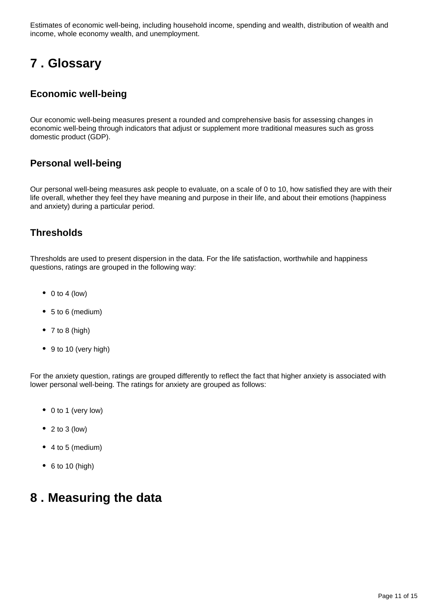Estimates of economic well-being, including household income, spending and wealth, distribution of wealth and income, whole economy wealth, and unemployment.

# <span id="page-10-0"></span>**7 . Glossary**

### **Economic well-being**

Our economic well-being measures present a rounded and comprehensive basis for assessing changes in economic well-being through indicators that adjust or supplement more traditional measures such as gross domestic product (GDP).

### **Personal well-being**

Our personal well-being measures ask people to evaluate, on a scale of 0 to 10, how satisfied they are with their life overall, whether they feel they have meaning and purpose in their life, and about their emotions (happiness and anxiety) during a particular period.

### **Thresholds**

Thresholds are used to present dispersion in the data. For the life satisfaction, worthwhile and happiness questions, ratings are grouped in the following way:

- $\bullet$  0 to 4 (low)
- 5 to 6 (medium)
- $\bullet$  7 to 8 (high)
- 9 to 10 (very high)

For the anxiety question, ratings are grouped differently to reflect the fact that higher anxiety is associated with lower personal well-being. The ratings for anxiety are grouped as follows:

- 0 to 1 (very low)
- $\bullet$  2 to 3 (low)
- $\bullet$  4 to 5 (medium)
- $\bullet$  6 to 10 (high)

# <span id="page-10-1"></span>**8 . Measuring the data**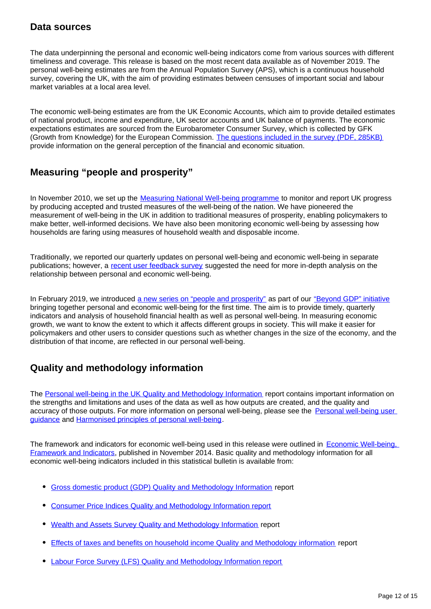### **Data sources**

The data underpinning the personal and economic well-being indicators come from various sources with different timeliness and coverage. This release is based on the most recent data available as of November 2019. The personal well-being estimates are from the Annual Population Survey (APS), which is a continuous household survey, covering the UK, with the aim of providing estimates between censuses of important social and labour market variables at a local area level.

The economic well-being estimates are from the UK Economic Accounts, which aim to provide detailed estimates of national product, income and expenditure, UK sector accounts and UK balance of payments. The economic expectations estimates are sourced from the Eurobarometer Consumer Survey, which is collected by GFK (Growth from Knowledge) for the European Commission. [The questions included in the survey \(PDF, 285KB\)](https://ec.europa.eu/info/sites/info/files/questionnaires_uk_cons_en.pdf) provide information on the general perception of the financial and economic situation.

### **Measuring "people and prosperity"**

In November 2010, we set up the [Measuring National Well-being programme](https://www.ons.gov.uk/peoplepopulationandcommunity/wellbeing/articles/measuresofnationalwellbeingdashboard/2018-09-26) to monitor and report UK progress by producing accepted and trusted measures of the well-being of the nation. We have pioneered the measurement of well-being in the UK in addition to traditional measures of prosperity, enabling policymakers to make better, well-informed decisions. We have also been monitoring economic well-being by assessing how households are faring using measures of household wealth and disposable income.

Traditionally, we reported our quarterly updates on personal well-being and economic well-being in separate publications; however, a [recent user feedback survey](https://www.ons.gov.uk/peoplepopulationandcommunity/wellbeing/methodologies/personalwellbeingoutputssummaryofuserfeedback) suggested the need for more in-depth analysis on the relationship between personal and economic well-being.

In February 2019, we introduced [a new series on "people and prosperity"](https://www.ons.gov.uk/peoplepopulationandcommunity/wellbeing/bulletins/personalandeconomicwellbeingintheuk/september2018) as part of our ["Beyond GDP" initiative](https://blog.ons.gov.uk/2019/02/04/beyond-gdp-how-ons-is-developing-wider-measures-of-well-being/) bringing together personal and economic well-being for the first time. The aim is to provide timely, quarterly indicators and analysis of household financial health as well as personal well-being. In measuring economic growth, we want to know the extent to which it affects different groups in society. This will make it easier for policymakers and other users to consider questions such as whether changes in the size of the economy, and the distribution of that income, are reflected in our personal well-being.

### **Quality and methodology information**

The [Personal well-being in the UK Quality and Methodology Information](https://www.ons.gov.uk/peoplepopulationandcommunity/wellbeing/methodologies/personalwellbeingintheukqmi) report contains important information on the strengths and limitations and uses of the data as well as how outputs are created, and the quality and accuracy of those outputs. For more information on personal well-being, please see the Personal well-being user [guidance](https://www.ons.gov.uk/peoplepopulationandcommunity/wellbeing/methodologies/personalwellbeingsurveyuserguide) and [Harmonised principles of personal well-being.](https://gss.civilservice.gov.uk/guidances/harmonisation/0-harmonised-principles/personal-well-being/)

The framework and indicators for economic well-being used in this release were outlined in [Economic Well-being,](http://webarchive.nationalarchives.gov.uk/20160105234010/http:/www.ons.gov.uk/ons/rel/wellbeing/economic-well-being/framework-and-indicators/index.html)  [Framework and Indicators,](http://webarchive.nationalarchives.gov.uk/20160105234010/http:/www.ons.gov.uk/ons/rel/wellbeing/economic-well-being/framework-and-indicators/index.html) published in November 2014. Basic quality and methodology information for all economic well-being indicators included in this statistical bulletin is available from:

- [Gross domestic product \(GDP\) Quality and Methodology Information](https://www.ons.gov.uk/economy/grossdomesticproductgdp/qmis/grossdomesticproductgdpqmi) report
- [Consumer Price Indices Quality and Methodology Information report](https://www.ons.gov.uk/economy/inflationandpriceindices/qmis/consumerpriceinflationqmi)
- [Wealth and Assets Survey Quality and Methodology Information](https://www.ons.gov.uk/peoplepopulationandcommunity/personalandhouseholdfinances/debt/methodologies/wealthandassetssurveyqmi) report
- [Effects of taxes and benefits on household income Quality and Methodology information](https://www.ons.gov.uk/peoplepopulationandcommunity/personalandhouseholdfinances/incomeandwealth/methodologies/theeffectsoftaxesandbenefitsonukhouseholdincome) report
- [Labour Force Survey \(LFS\) Quality and Methodology Information report](https://www.ons.gov.uk/employmentandlabourmarket/peopleinwork/employmentandemployeetypes/qmis/labourforcesurveylfsqmi)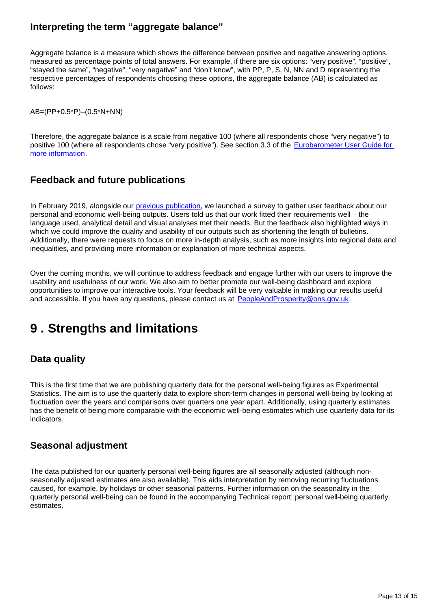### **Interpreting the term "aggregate balance"**

Aggregate balance is a measure which shows the difference between positive and negative answering options, measured as percentage points of total answers. For example, if there are six options: "very positive", "positive", "stayed the same", "negative", "very negative" and "don't know", with PP, P, S, N, NN and D representing the respective percentages of respondents choosing these options, the aggregate balance (AB) is calculated as follows:

AB=(PP+0.5\*P)–(0.5\*N+NN)

Therefore, the aggregate balance is a scale from negative 100 (where all respondents chose "very negative") to positive 100 (where all respondents chose "very positive"). See section 3.3 of the Eurobarometer User Guide for [more information.](https://ec.europa.eu/info/sites/info/files/bcs_user_guide_en_0.pdf)

### **Feedback and future publications**

In February 2019, alongside our [previous publication](https://www.ons.gov.uk/peoplepopulationandcommunity/wellbeing/bulletins/personalandeconomicwellbeingintheuk/september2018), we launched a survey to gather user feedback about our personal and economic well-being outputs. Users told us that our work fitted their requirements well – the language used, analytical detail and visual analyses met their needs. But the feedback also highlighted ways in which we could improve the quality and usability of our outputs such as shortening the length of bulletins. Additionally, there were requests to focus on more in-depth analysis, such as more insights into regional data and inequalities, and providing more information or explanation of more technical aspects.

Over the coming months, we will continue to address feedback and engage further with our users to improve the usability and usefulness of our work. We also aim to better promote our well-being dashboard and explore opportunities to improve our interactive tools. Your feedback will be very valuable in making our results useful and accessible. If you have any questions, please contact us at PeopleAndProsperity@ons.gov.uk.

# <span id="page-12-0"></span>**9 . Strengths and limitations**

### **Data quality**

This is the first time that we are publishing quarterly data for the personal well-being figures as Experimental Statistics. The aim is to use the quarterly data to explore short-term changes in personal well-being by looking at fluctuation over the years and comparisons over quarters one year apart. Additionally, using quarterly estimates has the benefit of being more comparable with the economic well-being estimates which use quarterly data for its indicators.

### **Seasonal adjustment**

The data published for our quarterly personal well-being figures are all seasonally adjusted (although nonseasonally adjusted estimates are also available). This aids interpretation by removing recurring fluctuations caused, for example, by holidays or other seasonal patterns. Further information on the seasonality in the quarterly personal well-being can be found in the accompanying Technical report: personal well-being quarterly estimates.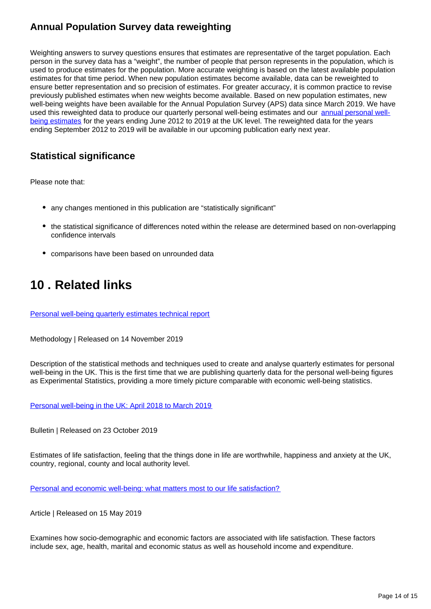## **Annual Population Survey data reweighting**

Weighting answers to survey questions ensures that estimates are representative of the target population. Each person in the survey data has a "weight", the number of people that person represents in the population, which is used to produce estimates for the population. More accurate weighting is based on the latest available population estimates for that time period. When new population estimates become available, data can be reweighted to ensure better representation and so precision of estimates. For greater accuracy, it is common practice to revise previously published estimates when new weights become available. Based on new population estimates, new well-being weights have been available for the Annual Population Survey (APS) data since March 2019. We have used this reweighted data to produce our quarterly personal well-being estimates and our [annual personal well](https://www.ons.gov.uk/peoplepopulationandcommunity/wellbeing/datasets/headlineestimatesofpersonalwellbeing)[being estimates](https://www.ons.gov.uk/peoplepopulationandcommunity/wellbeing/datasets/headlineestimatesofpersonalwellbeing) for the years ending June 2012 to 2019 at the UK level. The reweighted data for the years ending September 2012 to 2019 will be available in our upcoming publication early next year.

### **Statistical significance**

Please note that:

- any changes mentioned in this publication are "statistically significant"
- the statistical significance of differences noted within the release are determined based on non-overlapping confidence intervals
- comparisons have been based on unrounded data

# <span id="page-13-0"></span>**10 . Related links**

[Personal well-being quarterly estimates technical report](https://www.ons.gov.uk/peoplepopulationandcommunity/wellbeing/methodologies/personalwellbeingquarterlyestimatestechnicalreport)

Methodology | Released on 14 November 2019

Description of the statistical methods and techniques used to create and analyse quarterly estimates for personal well-being in the UK. This is the first time that we are publishing quarterly data for the personal well-being figures as Experimental Statistics, providing a more timely picture comparable with economic well-being statistics.

[Personal well-being in the UK: April 2018 to March 2019](https://www.ons.gov.uk/peoplepopulationandcommunity/wellbeing/bulletins/measuringnationalwellbeing/april2018tomarch2019#personal-well-being-data)

Bulletin | Released on 23 October 2019

Estimates of life satisfaction, feeling that the things done in life are worthwhile, happiness and anxiety at the UK, country, regional, county and local authority level.

[Personal and economic well-being: what matters most to our life satisfaction?](https://www.ons.gov.uk/redir/eyJhbGciOiJIUzI1NiJ9.eyJpbmRleCI6MywicGFnZVNpemUiOjEwLCJ0ZXJtIjoicGVyc29uYWwgd2VsbC1iZWluZyIsInBhZ2UiOjEsInVyaSI6Ii9wZW9wbGVwb3B1bGF0aW9uYW5kY29tbXVuaXR5L3dlbGxiZWluZy9hcnRpY2xlcy9wZXJzb25hbGFuZGVjb25vbWljd2VsbGJlaW5naW50aGV1ay93aGF0bWF0dGVyc21vc3R0b291cmxpZmVzYXRpc2ZhY3Rpb24iLCJsaXN0VHlwZSI6InNlYXJjaCJ9.PD588u8Nlf-OKMQo_0dNuQEvjYgLrXULdgVVQk5cWdk)

Article | Released on 15 May 2019

Examines how socio-demographic and economic factors are associated with life satisfaction. These factors include sex, age, health, marital and economic status as well as household income and expenditure.